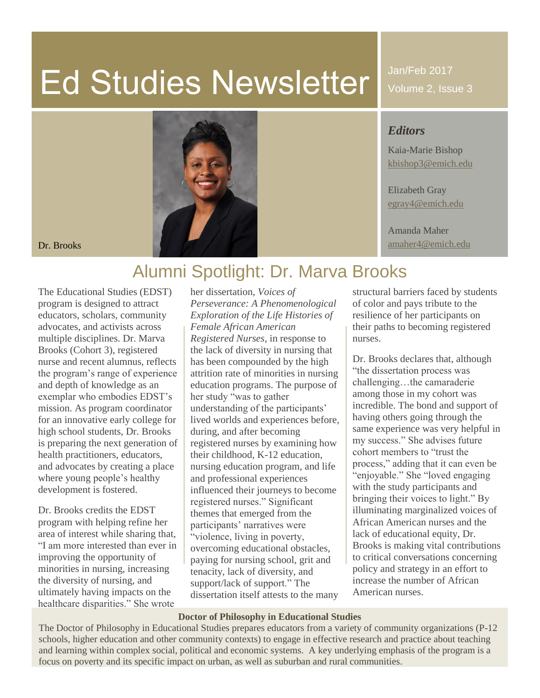# Ed Studies Newsletter

Jan/Feb 2017 Volume 2, Issue 3

#### *Editors*

Kaia-Marie Bishop [kbishop3@emich.edu](mailto:kbishop3@emich.edu)

Elizabeth Gray [egray4@emich.edu](mailto:egray4@emich.edu)

Amanda Maher



# Alumni Spotlight: Dr. Marva Brooks

The Educational Studies (EDST) program is designed to attract educators, scholars, community advocates, and activists across multiple disciplines. Dr. Marva Brooks (Cohort 3), registered nurse and recent alumnus, reflects the program's range of experience and depth of knowledge as an exemplar who embodies EDST's mission. As program coordinator for an innovative early college for high school students, Dr. Brooks is preparing the next generation of health practitioners, educators, and advocates by creating a place where young people's healthy development is fostered.

Dr. Brooks credits the EDST program with helping refine her area of interest while sharing that, "I am more interested than ever in improving the opportunity of minorities in nursing, increasing the diversity of nursing, and ultimately having impacts on the healthcare disparities." She wrote

her dissertation, *Voices of Perseverance: A Phenomenological Exploration of the Life Histories of Female African American Registered Nurses*, in response to the lack of diversity in nursing that has been compounded by the high attrition rate of minorities in nursing education programs. The purpose of her study "was to gather understanding of the participants' lived worlds and experiences before, during, and after becoming registered nurses by examining how their childhood, K-12 education, nursing education program, and life and professional experiences influenced their journeys to become registered nurses." Significant themes that emerged from the participants' narratives were "violence, living in poverty, overcoming educational obstacles, paying for nursing school, grit and tenacity, lack of diversity, and support/lack of support." The dissertation itself attests to the many structural barriers faced by students of color and pays tribute to the resilience of her participants on their paths to becoming registered nurses.

Dr. Brooks declares that, although "the dissertation process was challenging…the camaraderie among those in my cohort was incredible. The bond and support of having others going through the same experience was very helpful in my success." She advises future cohort members to "trust the process," adding that it can even be "enjoyable." She "loved engaging with the study participants and bringing their voices to light." By illuminating marginalized voices of African American nurses and the lack of educational equity, Dr. Brooks is making vital contributions to critical conversations concerning policy and strategy in an effort to increase the number of African American nurses.

#### **Doctor of Philosophy in Educational Studies**

The Doctor of Philosophy in Educational Studies prepares educators from a variety of community organizations (P-12 schools, higher education and other community contexts) to engage in effective research and practice about teaching and learning within complex social, political and economic systems. A key underlying emphasis of the program is a focus on poverty and its specific impact on urban, as well as suburban and rural communities.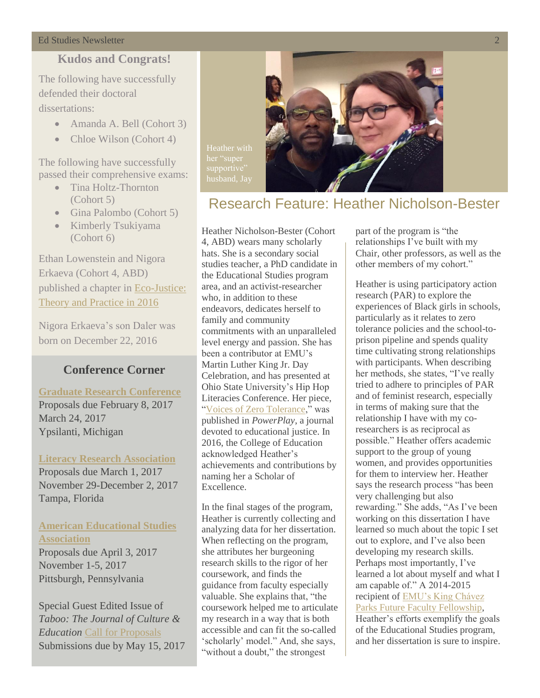#### Ed Studies Newsletter 2

### **Kudos and Congrats!**

The following have successfully defended their doctoral dissertations:

- Amanda A. Bell (Cohort 3)
- Chloe Wilson (Cohort 4)

The following have successfully passed their comprehensive exams:

- Tina Holtz-Thornton (Cohort 5)
- Gina Palombo (Cohort 5)
- Kimberly Tsukiyama (Cohort 6)

Ethan Lowenstein and Nigora Erkaeva (Cohort 4, ABD) published a chapter in [Eco-Justice:](http://ecojusticepress.com/eco-justice-essays-on-theory-and-practice-2016.html?mc_cid=4374575fe8&mc_eid=71c36a4c68)  [Theory and Practice in 2016](http://ecojusticepress.com/eco-justice-essays-on-theory-and-practice-2016.html?mc_cid=4374575fe8&mc_eid=71c36a4c68)

Nigora Erkaeva's son Daler was born on December 22, 2016

#### **Conference Corner**

**[Graduate Research Conference](http://www.emich.edu/graduate/news_events/research_conference/index.php)** Proposals due February 8, 2017 March 24, 2017 Ypsilanti, Michigan

**[Literacy Research Association](http://www.literacyresearchassociation.org/conference)** Proposals due March 1, 2017 November 29-December 2, 2017 Tampa, Florida

#### **[American Educational Studies](http://www.educationalstudies.org/conference.html)  [Association](http://www.educationalstudies.org/conference.html)**

Proposals due April 3, 2017 November 1-5, 2017 Pittsburgh, Pennsylvania

Special Guest Edited Issue of *Taboo: The Journal of Culture & Education* [Call for Proposals](https://www.academia.edu/30666089/CFP-Special_Guest_Edited_Issue_of_Taboo_The_Journal_of_Culture_and_Education_A_Utopian_Vision_for_the_Future_Notes_from_the_Present) Submissions due by May 15, 2017



# Research Feature: Heather Nicholson-Bester

Heather Nicholson-Bester (Cohort 4, ABD) wears many scholarly hats. She is a secondary social studies teacher, a PhD candidate in the Educational Studies program area, and an activist-researcher who, in addition to these endeavors, dedicates herself to family and community commitments with an unparalleled level energy and passion. She has been a contributor at EMU's Martin Luther King Jr. Day Celebration, and has presented at Ohio State University's Hip Hop Literacies Conference. Her piece, ["Voices of Zero Tolerance,](https://www.academia.edu/13082183/Voices_of_Zero_Tolerance)" was published in *PowerPlay*, a journal devoted to educational justice. In 2016, the College of Education acknowledged Heather's achievements and contributions by naming her a Scholar of Excellence.

supportive'

In the final stages of the program, Heather is currently collecting and analyzing data for her dissertation. When reflecting on the program, she attributes her burgeoning research skills to the rigor of her coursework, and finds the guidance from faculty especially valuable. She explains that, "the coursework helped me to articulate my research in a way that is both accessible and can fit the so-called 'scholarly' model." And, she says, "without a doubt," the strongest

part of the program is "the relationships I've built with my Chair, other professors, as well as the other members of my cohort."

Heather is using participatory action research (PAR) to explore the experiences of Black girls in schools, particularly as it relates to zero tolerance policies and the school-toprison pipeline and spends quality time cultivating strong relationships with participants. When describing her methods, she states, "I've really tried to adhere to principles of PAR and of feminist research, especially in terms of making sure that the relationship I have with my coresearchers is as reciprocal as possible." Heather offers academic support to the group of young women, and provides opportunities for them to interview her. Heather says the research process "has been very challenging but also rewarding." She adds, "As I've been working on this dissertation I have learned so much about the topic I set out to explore, and I've also been developing my research skills. Perhaps most importantly, I've learned a lot about myself and what I am capable of." A 2014-2015 recipient of [EMU's King Chávez](http://www.emich.edu/coe/news/2015/2015-03-17-student-notes.php)  [Parks Future Faculty Fellowship,](http://www.emich.edu/coe/news/2015/2015-03-17-student-notes.php) Heather's efforts exemplify the goals of the Educational Studies program, and her dissertation is sure to inspire.